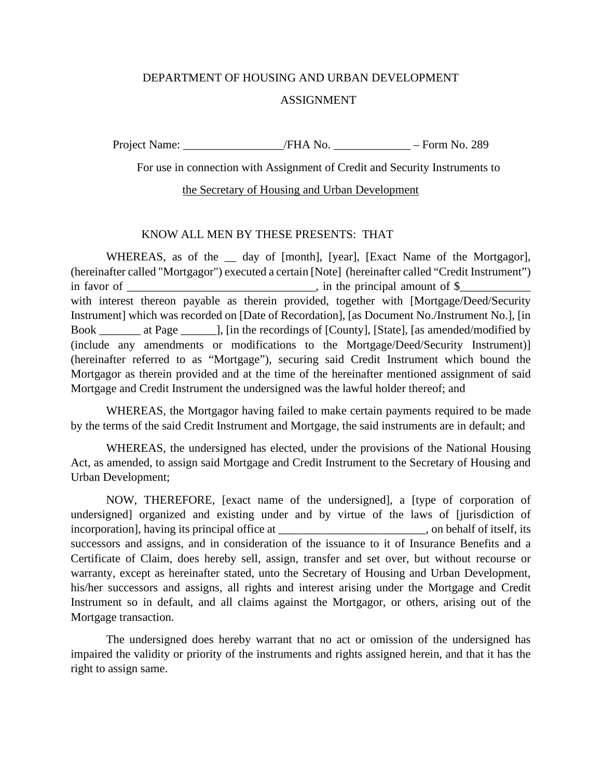## DEPARTMENT OF HOUSING AND URBAN DEVELOPMENT ASSIGNMENT

Project Name: \_\_\_\_\_\_\_\_\_\_\_\_\_\_\_\_\_/FHA No. \_\_\_\_\_\_\_\_\_\_\_\_\_ – Form No. 289

For use in connection with Assignment of Credit and Security Instruments to

## the Secretary of Housing and Urban Development

## KNOW ALL MEN BY THESE PRESENTS: THAT

WHEREAS, as of the <u>quality</u> day of [month], [year], [Exact Name of the Mortgagor], (hereinafter called "Mortgagor") executed a certain [Note] (hereinafter called "Credit Instrument") in favor of  $\Box$ with interest thereon payable as therein provided, together with [Mortgage/Deed/Security Instrument] which was recorded on [Date of Recordation], [as Document No./Instrument No.], [in Book \_\_\_\_\_\_\_ at Page \_\_\_\_\_\_], [in the recordings of [County], [State], [as amended/modified by (include any amendments or modifications to the Mortgage/Deed/Security Instrument)] (hereinafter referred to as "Mortgage"), securing said Credit Instrument which bound the Mortgagor as therein provided and at the time of the hereinafter mentioned assignment of said Mortgage and Credit Instrument the undersigned was the lawful holder thereof; and

WHEREAS, the Mortgagor having failed to make certain payments required to be made by the terms of the said Credit Instrument and Mortgage, the said instruments are in default; and

WHEREAS, the undersigned has elected, under the provisions of the National Housing Act, as amended, to assign said Mortgage and Credit Instrument to the Secretary of Housing and Urban Development;

NOW, THEREFORE, [exact name of the undersigned], a [type of corporation of undersigned] organized and existing under and by virtue of the laws of [jurisdiction of incorporation], having its principal office at \_\_\_\_\_\_\_\_\_\_\_\_\_\_\_\_\_\_\_\_\_\_, on behalf of itself, its successors and assigns, and in consideration of the issuance to it of Insurance Benefits and a Certificate of Claim, does hereby sell, assign, transfer and set over, but without recourse or warranty, except as hereinafter stated, unto the Secretary of Housing and Urban Development, his/her successors and assigns, all rights and interest arising under the Mortgage and Credit Instrument so in default, and all claims against the Mortgagor, or others, arising out of the Mortgage transaction.

The undersigned does hereby warrant that no act or omission of the undersigned has impaired the validity or priority of the instruments and rights assigned herein, and that it has the right to assign same.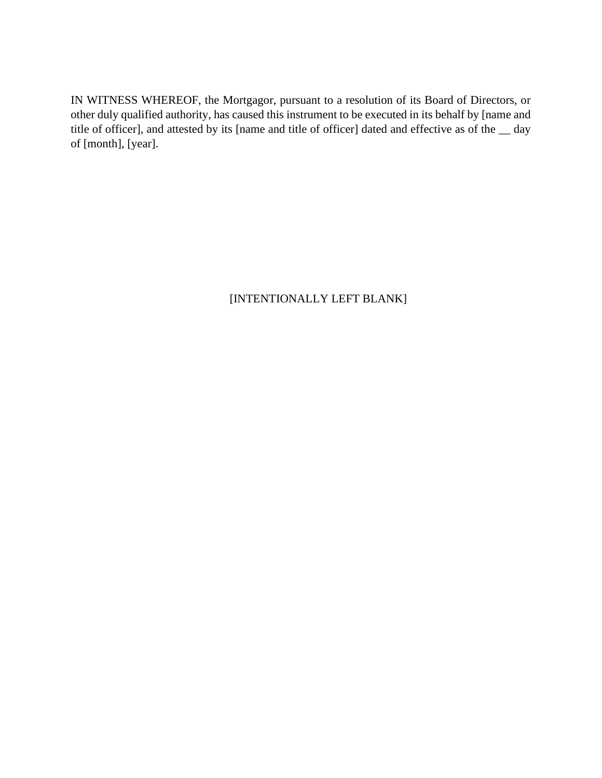IN WITNESS WHEREOF, the Mortgagor, pursuant to a resolution of its Board of Directors, or other duly qualified authority, has caused this instrument to be executed in its behalf by [name and title of officer], and attested by its [name and title of officer] dated and effective as of the \_\_ day of [month], [year].

## [INTENTIONALLY LEFT BLANK]